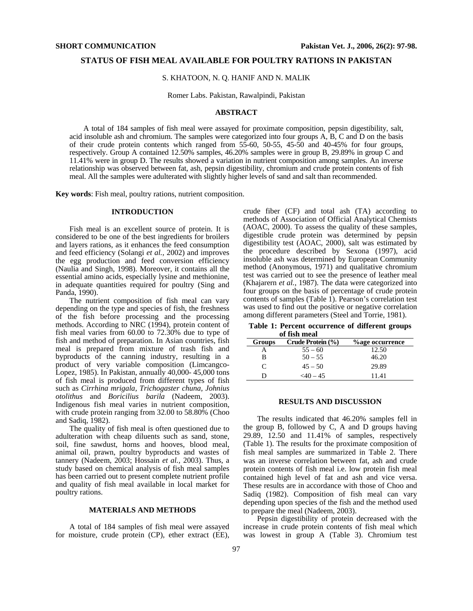### **STATUS OF FISH MEAL AVAILABLE FOR POULTRY RATIONS IN PAKISTAN**

### S. KHATOON, N. Q. HANIF AND N. MALIK

Romer Labs. Pakistan, Rawalpindi, Pakistan

#### **ABSTRACT**

A total of 184 samples of fish meal were assayed for proximate composition, pepsin digestibility, salt, acid insoluble ash and chromium. The samples were categorized into four groups A, B, C and D on the basis of their crude protein contents which ranged from 55-60, 50-55, 45-50 and 40-45% for four groups, respectively. Group A contained 12.50% samples, 46.20% samples were in group B, 29.89% in group C and 11.41% were in group D. The results showed a variation in nutrient composition among samples. An inverse relationship was observed between fat, ash, pepsin digestibility, chromium and crude protein contents of fish meal. All the samples were adulterated with slightly higher levels of sand and salt than recommended.

**Key words**: Fish meal, poultry rations, nutrient composition.

## **INTRODUCTION**

Fish meal is an excellent source of protein. It is considered to be one of the best ingredients for broilers and layers rations, as it enhances the feed consumption and feed efficiency (Solangi *et al.,* 2002) and improves the egg production and feed conversion efficiency (Naulia and Singh, 1998). Moreover, it contains all the essential amino acids, especially lysine and methionine, in adequate quantities required for poultry (Sing and Panda, 1990).

The nutrient composition of fish meal can vary depending on the type and species of fish, the freshness of the fish before processing and the processing methods. According to NRC (1994), protein content of fish meal varies from 60.00 to 72.30% due to type of fish and method of preparation. In Asian countries, fish meal is prepared from mixture of trash fish and byproducts of the canning industry, resulting in a product of very variable composition (Limcangco-Lopez, 1985). In Pakistan, annually 40,000-45,000 tons of fish meal is produced from different types of fish such as *Cirrhina mrigala, Trichogaster chuna, Johnius otolithus* and *Boricilius barila* (Nadeem, 2003). Indigenous fish meal varies in nutrient composition, with crude protein ranging from 32.00 to 58.80% (Choo and Sadiq, 1982).

The quality of fish meal is often questioned due to adulteration with cheap diluents such as sand, stone, soil, fine sawdust, horns and hooves, blood meal, animal oil, prawn, poultry byproducts and wastes of tannery (Nadeem, 2003; Hossain *et al.,* 2003). Thus, a study based on chemical analysis of fish meal samples has been carried out to present complete nutrient profile and quality of fish meal available in local market for poultry rations.

## **MATERIALS AND METHODS**

A total of 184 samples of fish meal were assayed for moisture, crude protein (CP), ether extract (EE), crude fiber (CF) and total ash (TA) according to methods of Association of Official Analytical Chemists (AOAC, 2000). To assess the quality of these samples, digestible crude protein was determined by pepsin digestibility test (AOAC, 2000), salt was estimated by the procedure described by Sexona (1997), acid insoluble ash was determined by European Community method (Anonymous, 1971) and qualitative chromium test was carried out to see the presence of leather meal (Khajarern *et al.,* 1987). The data were categorized into four groups on the basis of percentage of crude protein contents of samples (Table 1). Pearson's correlation test was used to find out the positive or negative correlation among different parameters (Steel and Torrie, 1981).

**Table 1: Percent occurrence of different groups of fish meal** 

| Groups        | Crude Protein (%) | <b>%age occurrence</b> |
|---------------|-------------------|------------------------|
|               | $55 - 60$         | 12.50                  |
| в             | $50 - 55$         | 46.20                  |
| $\mathcal{C}$ | $45 - 50$         | 29.89                  |
|               | $\leq$ 40 – 45    | 11 41                  |

#### **RESULTS AND DISCUSSION**

The results indicated that 46.20% samples fell in the group B, followed by C, A and D groups having 29.89, 12.50 and 11.41% of samples, respectively (Table 1). The results for the proximate composition of fish meal samples are summarized in Table 2. There was an inverse correlation between fat, ash and crude protein contents of fish meal i.e. low protein fish meal contained high level of fat and ash and vice versa. These results are in accordance with those of Choo and Sadiq (1982). Composition of fish meal can vary depending upon species of the fish and the method used to prepare the meal (Nadeem, 2003).

Pepsin digestibility of protein decreased with the increase in crude protein contents of fish meal which was lowest in group A (Table 3). Chromium test